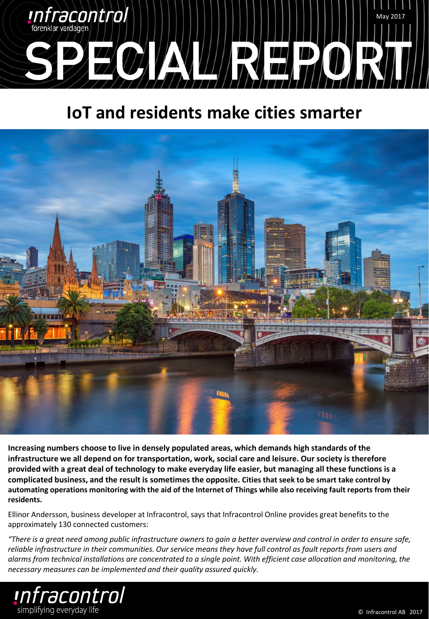

# **IoT and residents make cities smarter**



**Increasing numbers choose to live in densely populated areas, which demands high standards of the infrastructure we all depend on for transportation, work, social care and leisure. Our society is therefore provided with a great deal of technology to make everyday life easier, but managing all these functions is a complicated business, and the result is sometimes the opposite. Cities that seek to be smart take control by automating operations monitoring with the aid of the Internet of Things while also receiving fault reports from their residents.**

Ellinor Andersson, business developer at Infracontrol, says that Infracontrol Online provides great benefits to the approximately 130 connected customers:

*"There is a great need among public infrastructure owners to gain a better overview and control in order to ensure safe, reliable infrastructure in their communities. Our service means they have full control as fault reports from users and alarms from technical installations are concentrated to a single point. With efficient case allocation and monitoring, the necessary measures can be implemented and their quality assured quickly.*